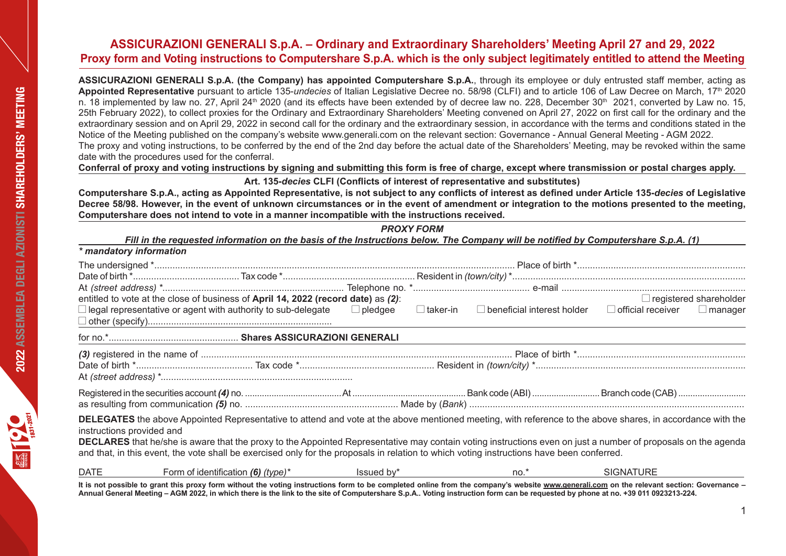**Assicurazioni Generali S.p.A. (the Company) has appointed Computershare S.p.A.**, through its employee or duly entrusted staff member, acting as **Appointed Representative** pursuant to article 135-*undecies* of Italian Legislative Decree no. 58/98 (CLFI) and to article 106 of Law Decree on March, 17th 2020 n. 18 implemented by law no. 27, April 24<sup>th</sup> 2020 (and its effects have been extended by of decree law no. 228, December 30<sup>th</sup> 2021, converted by Law no. 15, 25th February 2022), to collect proxies for the Ordinary and Extraordinary Shareholders' Meeting convened on April 27, 2022 on first call for the ordinary and the extraordinary session and on April 29, 2022 in second call for the ordinary and the extraordinary session, in accordance with the terms and conditions stated in the Notice of the Meeting published on the company's website www.generali.com on the relevant section: Governance - Annual General Meeting - AGM 2022. The proxy and voting instructions, to be conferred by the end of the 2nd day before the actual date of the Shareholders' Meeting, may be revoked within the same date with the procedures used for the conferral.

**Conferral of proxy and voting instructions by signing and submitting this form is free of charge, except where transmission or postal charges apply.**

# **Art. 135-***decies* **CLFI (Conflicts of interest of representative and substitutes)**

**Computershare S.p.A., acting as Appointed Representative, is not subject to any conflicts of interest as defined under Article 135-***decies* **of Legislative Decree 58/98. However, in the event of unknown circumstances or in the event of amendment or integration to the motions presented to the meeting, Computershare does not intend to vote in a manner incompatible with the instructions received.**

*PROXY FORM*

| Fill in the requested information on the basis of the Instructions below. The Company will be notified by Computershare S.p.A. (1) |        |  |
|------------------------------------------------------------------------------------------------------------------------------------|--------|--|
| * mandatory information                                                                                                            |        |  |
| ا * امید میبد: میبدام میباشد IT ام                                                                                                 | $\Box$ |  |

|                           | entitled to vote at the close of business of April 14, 2022 (record date) as (2):                                                                                                                                                                                                                                                                                                                                                                                               |            |      |                  | $\Box$ registered shareholder |
|---------------------------|---------------------------------------------------------------------------------------------------------------------------------------------------------------------------------------------------------------------------------------------------------------------------------------------------------------------------------------------------------------------------------------------------------------------------------------------------------------------------------|------------|------|------------------|-------------------------------|
|                           | $\Box$ legal representative or agent with authority to sub-delegate $\Box$ pledgee $\Box$ taker-in $\Box$ beneficial interest holder $\Box$ official receiver $\Box$ manager                                                                                                                                                                                                                                                                                                    |            |      |                  |                               |
|                           |                                                                                                                                                                                                                                                                                                                                                                                                                                                                                 |            |      |                  |                               |
|                           |                                                                                                                                                                                                                                                                                                                                                                                                                                                                                 |            |      |                  |                               |
|                           |                                                                                                                                                                                                                                                                                                                                                                                                                                                                                 |            |      |                  |                               |
|                           |                                                                                                                                                                                                                                                                                                                                                                                                                                                                                 |            |      |                  |                               |
|                           |                                                                                                                                                                                                                                                                                                                                                                                                                                                                                 |            |      |                  |                               |
| instructions provided and | DELEGATES the above Appointed Representative to attend and vote at the above mentioned meeting, with reference to the above shares, in accordance with the<br><b>DECLARES</b> that he/she is aware that the proxy to the Appointed Representative may contain voting instructions even on just a number of proposals on the agenda<br>and that, in this event, the vote shall be exercised only for the proposals in relation to which voting instructions have been conferred. |            |      |                  |                               |
| DATE                      | Form of identification $(6)$ (type) <sup>*</sup>                                                                                                                                                                                                                                                                                                                                                                                                                                | Issued by* | no.* | <b>SIGNATURE</b> |                               |

**It is not possible to grant this proxy form without the voting instructions form to be completed online from the company's website www.generali.com on the relevant section: Governance – Annual General Meeting – AGM 2022, in which there is the link to the site of Computershare S.p.A.. Voting instruction form can be requested by phone at no. +39 011 0923213-224.**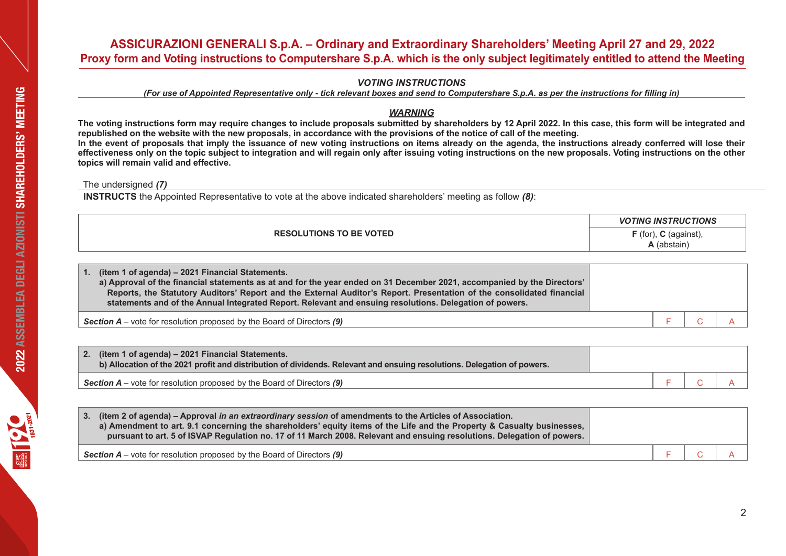# *VOTING INSTRUCTIONS*

*(For use of Appointed Representative only - tick relevant boxes and send to Computershare S.p.A. as per the instructions for filling in)* 

# *WARNING*

**The voting instructions form may require changes to include proposals submitted by shareholders by 12 April 2022. In this case, this form will be integrated and republished on the website with the new proposals, in accordance with the provisions of the notice of call of the meeting. In the event of proposals that imply the issuance of new voting instructions on items already on the agenda, the instructions already conferred will lose their effectiveness only on the topic subject to integration and will regain only after issuing voting instructions on the new proposals. Voting instructions on the other topics will remain valid and effective.**

The undersigned *(7)*

**INSTRUCTS** the Appointed Representative to vote at the above indicated shareholders' meeting as follow *(8)*:

|                                | <b>VOTING INSTRUCTIONS</b>                |
|--------------------------------|-------------------------------------------|
| <b>RESOLUTIONS TO BE VOTED</b> | $F$ (for),<br>C (against),<br>A (abstain) |
|                                |                                           |

| (item 1 of agenda) – 2021 Financial Statements.<br>a) Approval of the financial statements as at and for the year ended on 31 December 2021, accompanied by the Directors'<br>Reports, the Statutory Auditors' Report and the External Auditor's Report. Presentation of the consolidated financial<br>statements and of the Annual Integrated Report. Relevant and ensuing resolutions. Delegation of powers. |  |  |
|----------------------------------------------------------------------------------------------------------------------------------------------------------------------------------------------------------------------------------------------------------------------------------------------------------------------------------------------------------------------------------------------------------------|--|--|
| <b>Section A</b> – vote for resolution proposed by the Board of Directors $(9)$                                                                                                                                                                                                                                                                                                                                |  |  |

| 2. (item 1 of agenda) – 2021 Financial Statements.<br>b) Allocation of the 2021 profit and distribution of dividends. Relevant and ensuing resolutions. Delegation of powers. |  |  |
|-------------------------------------------------------------------------------------------------------------------------------------------------------------------------------|--|--|
| <b>Section A</b> – vote for resolution proposed by the Board of Directors $(9)$                                                                                               |  |  |

| 3. (item 2 of agenda) – Approval in an extraordinary session of amendments to the Articles of Association.<br>a) Amendment to art. 9.1 concerning the shareholders' equity items of the Life and the Property & Casualty businesses,<br>pursuant to art. 5 of ISVAP Regulation no. 17 of 11 March 2008. Relevant and ensuing resolutions. Delegation of powers. |  |  |
|-----------------------------------------------------------------------------------------------------------------------------------------------------------------------------------------------------------------------------------------------------------------------------------------------------------------------------------------------------------------|--|--|
| <b>Section A</b> – vote for resolution proposed by the Board of Directors $(9)$                                                                                                                                                                                                                                                                                 |  |  |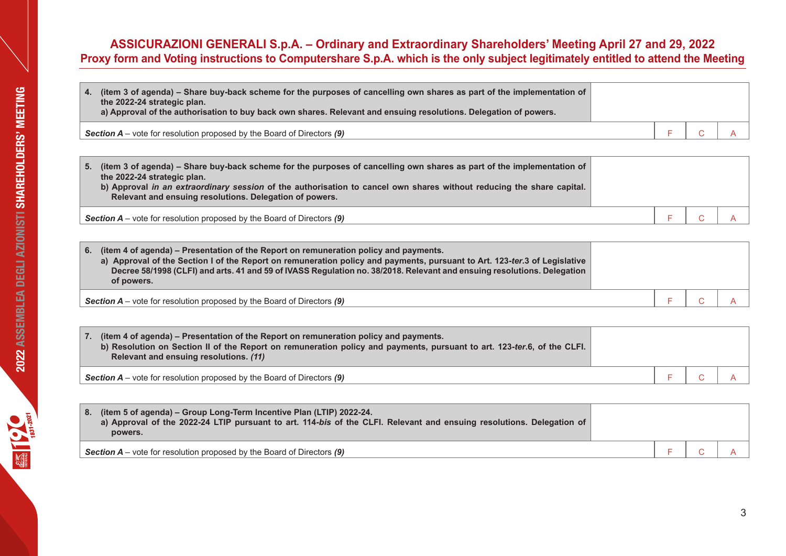| 4. (item 3 of agenda) – Share buy-back scheme for the purposes of cancelling own shares as part of the implementation of<br>the 2022-24 strategic plan.<br>a) Approval of the authorisation to buy back own shares. Relevant and ensuing resolutions. Delegation of powers. |         |  |
|-----------------------------------------------------------------------------------------------------------------------------------------------------------------------------------------------------------------------------------------------------------------------------|---------|--|
| <b>Section A</b> – vote for resolution proposed by the Board of Directors $(9)$                                                                                                                                                                                             | $C$ $A$ |  |

| (item 3 of agenda) – Share buy-back scheme for the purposes of cancelling own shares as part of the implementation of<br>5.<br>the 2022-24 strategic plan.<br>b) Approval in an extraordinary session of the authorisation to cancel own shares without reducing the share capital.<br>Relevant and ensuing resolutions. Delegation of powers. |  |  |
|------------------------------------------------------------------------------------------------------------------------------------------------------------------------------------------------------------------------------------------------------------------------------------------------------------------------------------------------|--|--|
| <b>Section A</b> – vote for resolution proposed by the Board of Directors $(9)$                                                                                                                                                                                                                                                                |  |  |

| (item 4 of agenda) – Presentation of the Report on remuneration policy and payments.<br>6.<br>a) Approval of the Section I of the Report on remuneration policy and payments, pursuant to Art. 123-ter.3 of Legislative<br>Decree 58/1998 (CLFI) and arts. 41 and 59 of IVASS Regulation no. 38/2018. Relevant and ensuing resolutions. Delegation<br>of powers. |  |  |
|------------------------------------------------------------------------------------------------------------------------------------------------------------------------------------------------------------------------------------------------------------------------------------------------------------------------------------------------------------------|--|--|
| <b>Section A</b> – vote for resolution proposed by the Board of Directors $(9)$                                                                                                                                                                                                                                                                                  |  |  |

| 7. (item 4 of agenda) – Presentation of the Report on remuneration policy and payments.<br>b) Resolution on Section II of the Report on remuneration policy and payments, pursuant to art. 123-ter.6, of the CLFI.<br>Relevant and ensuing resolutions. (11) |  |  |
|--------------------------------------------------------------------------------------------------------------------------------------------------------------------------------------------------------------------------------------------------------------|--|--|
| <b>Section A</b> – vote for resolution proposed by the Board of Directors $(9)$                                                                                                                                                                              |  |  |

| 8. (item 5 of agenda) – Group Long-Term Incentive Plan (LTIP) 2022-24.<br>a) Approval of the 2022-24 LTIP pursuant to art. 114-bis of the CLFI. Relevant and ensuing resolutions. Delegation of<br>powers. |  |  |
|------------------------------------------------------------------------------------------------------------------------------------------------------------------------------------------------------------|--|--|
| <b>Section A</b> – vote for resolution proposed by the Board of Directors $(9)$                                                                                                                            |  |  |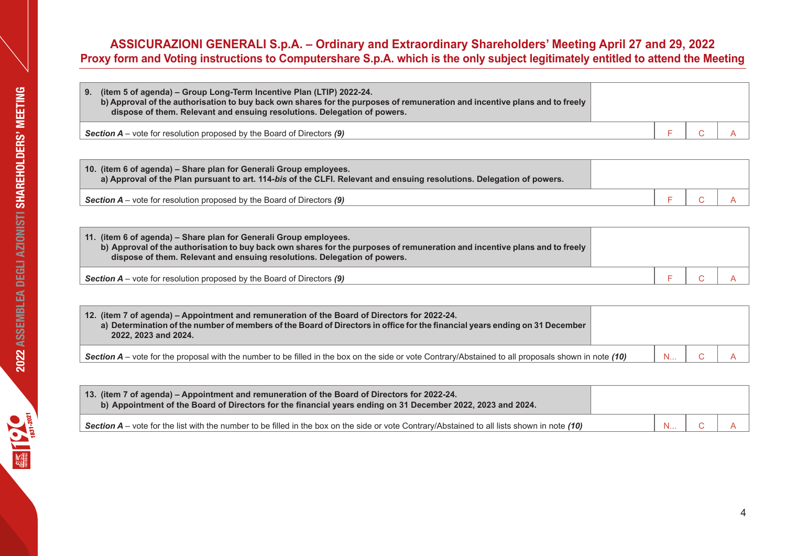# **Example 10**  $\frac{1}{481-2021}$  2022 ASSEMBLEA DEGLI AZIONISTI SHAREHOLDERS' MEETING

# **ASSICURAZIONI GENERALI S.p.A. – Ordinary and Extraordinary Shareholders' Meeting April 27 and 29, 2022 Proxy form and Voting instructions to Computershare S.p.A. which is the only subject legitimately entitled to attend the Meeting**

| (item 5 of agenda) – Group Long-Term Incentive Plan (LTIP) 2022-24.<br>9.<br>b) Approval of the authorisation to buy back own shares for the purposes of remuneration and incentive plans and to freely<br>dispose of them. Relevant and ensuing resolutions. Delegation of powers. |  |  |
|-------------------------------------------------------------------------------------------------------------------------------------------------------------------------------------------------------------------------------------------------------------------------------------|--|--|
| <b>Section A</b> – vote for resolution proposed by the Board of Directors $(9)$                                                                                                                                                                                                     |  |  |

| 10. (item 6 of agenda) – Share plan for Generali Group employees.<br>a) Approval of the Plan pursuant to art. 114-bis of the CLFI. Relevant and ensuing resolutions. Delegation of powers. |  |  |
|--------------------------------------------------------------------------------------------------------------------------------------------------------------------------------------------|--|--|
| <b>Section A</b> – vote for resolution proposed by the Board of Directors $(9)$                                                                                                            |  |  |

| 11. (item 6 of agenda) - Share plan for Generali Group employees.<br>b) Approval of the authorisation to buy back own shares for the purposes of remuneration and incentive plans and to freely<br>dispose of them. Relevant and ensuing resolutions. Delegation of powers. |  |  |
|-----------------------------------------------------------------------------------------------------------------------------------------------------------------------------------------------------------------------------------------------------------------------------|--|--|
| <b>Section A</b> – vote for resolution proposed by the Board of Directors $(9)$                                                                                                                                                                                             |  |  |

| 12. (item 7 of agenda) – Appointment and remuneration of the Board of Directors for 2022-24.<br>a) Determination of the number of members of the Board of Directors in office for the financial years ending on 31 December<br>2022, 2023 and 2024. |     |  |
|-----------------------------------------------------------------------------------------------------------------------------------------------------------------------------------------------------------------------------------------------------|-----|--|
| Section $A$ – vote for the proposal with the number to be filled in the box on the side or vote Contrary/Abstained to all proposals shown in note (10)                                                                                              | - N |  |

| 13. (item 7 of agenda) – Appointment and remuneration of the Board of Directors for 2022-24.<br>b) Appointment of the Board of Directors for the financial years ending on 31 December 2022, 2023 and 2024. |  |  |
|-------------------------------------------------------------------------------------------------------------------------------------------------------------------------------------------------------------|--|--|
| Section $A$ – vote for the list with the number to be filled in the box on the side or vote Contrary/Abstained to all lists shown in note (10)                                                              |  |  |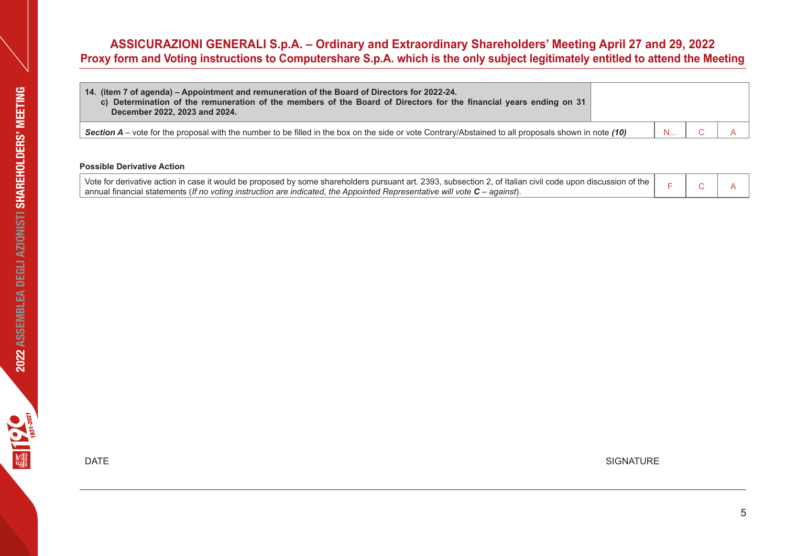| 14. (item 7 of agenda) – Appointment and remuneration of the Board of Directors for 2022-24.<br>c) Determination of the remuneration of the members of the Board of Directors for the financial years ending on 31<br>December 2022, 2023 and 2024. |          |  |
|-----------------------------------------------------------------------------------------------------------------------------------------------------------------------------------------------------------------------------------------------------|----------|--|
| Section $A$ – vote for the proposal with the number to be filled in the box on the side or vote Contrary/Abstained to all proposals shown in note (10)                                                                                              | <b>N</b> |  |

# **Possible Derivative Action**

| Vote for derivative action in case it would be proposed by some shareholders pursuant art. 2393, subsection 2, of Italian civil code upon discussion of the $\parallel$ |  |  |
|-------------------------------------------------------------------------------------------------------------------------------------------------------------------------|--|--|
| $\mid$ annual financial statements (If no voting instruction are indicated, the Appointed Representative will vote $C$ – against).                                      |  |  |

 $\blacksquare$  DATE SIGNATURE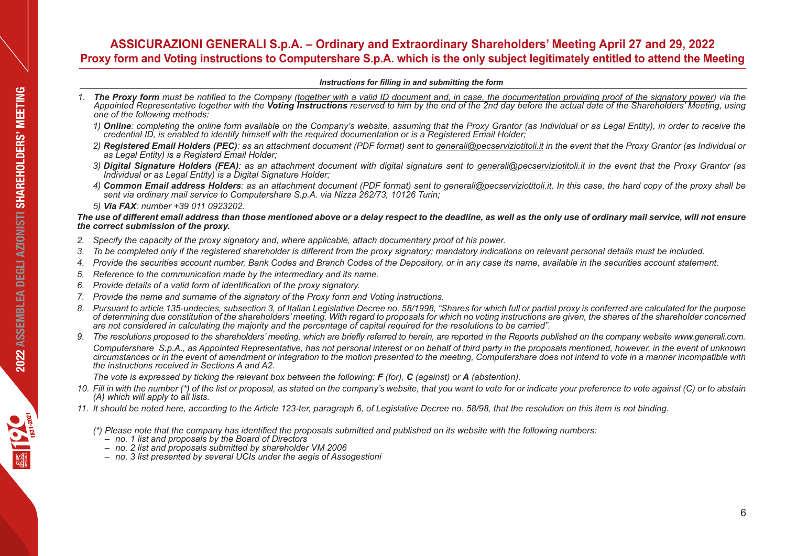# *Instructions for filling in and submitting the form*

- *1. The Proxy form must be notified to the Company (together with a valid ID document and, in case, the documentation providing proof of the signatory power) via the Appointed Representative together with the Voting Instructions reserved to him by the end of the 2nd day before the actual date of the Shareholders' Meeting, using a proof of the Shareholders' Meeting, using a proof of th one of the following methods:*
	- *1) Online: completing the online form available on the Company's website, assuming that the Proxy Grantor (as Individual or as Legal Entity), in order to receive the credential ID, is enabled to identify himself with the required documentation or is a Registered Email Holder;*
	- *2) Registered Email Holders (PEC): as an attachment document (PDF format) sent to generali@pecserviziotitoli.it in the event that the Proxy Grantor (as Individual or as Legal Entity) is a Registerd Email Holder;*
	- *3) Digital Signature Holders (FEA): as an attachment document with digital signature sent to generali@pecserviziotitoli.it in the event that the Proxy Grantor (as Individual or as Legal Entity) is a Digital Signature Holder;*
	- *4) Common Email address Holders: as an attachment document (PDF format) sent to generali@pecserviziotitoli.it. In this case, the hard copy of the proxy shall be sent via ordinary mail service to Computershare S.p.A. via Nizza 262/73, 10126 Turin;*
	- *5) Via FAX: number +39 011 0923202.*

# *The use of different email address than those mentioned above or a delay respect to the deadline, as well as the only use of ordinary mail service, will not ensure the correct submission of the proxy.*

- *2. Specify the capacity of the proxy signatory and, where applicable, attach documentary proof of his power.*
- *3. To be completed only if the registered shareholder is different from the proxy signatory; mandatory indications on relevant personal details must be included.*
- *4. Provide the securities account number, Bank Codes and Branch Codes of the Depository, or in any case its name, available in the securities account statement.*
- *5. Reference to the communication made by the intermediary and its name.*
- *6. Provide details of a valid form of identification of the proxy signatory.*
- *7. Provide the name and surname of the signatory of the Proxy form and Voting instructions.*
- *8. Pursuant to article 135-undecies, subsection 3, of Italian Legislative Decree no. 58/1998, "Shares for which full or partial proxy is conferred are calculated for the purpose of determining due constitution of the shareholders' meeting. With regard to proposals for which no voting instructions are given, the shares of the shareholder concerned are not considered in calculating the majority and the percentage of capital required for the resolutions to be carried".*
- *9. The resolutions proposed to the shareholders' meeting, which are briefly referred to herein, are reported in the Reports published on the company website www.generali.com. Computershare S.p.A., as Appointed Representative, has not personal interest or on behalf of third party in the proposals mentioned, however, in the event of unknown circumstances or in the event of amendment or integration to the motion presented to the meeting, Computershare does not intend to vote in a manner incompatible with the instructions received in Sections A and A2.*

*The vote is expressed by ticking the relevant box between the following: F (for), C (against) or A (abstention).*

- *10. Fill in with the number (\*) of the list or proposal, as stated on the company's website, that you want to vote for or indicate your preference to vote against (C) or to abstain (A) which will apply to all lists.*
- *11. It should be noted here, according to the Article 123-ter, paragraph 6, of Legislative Decree no. 58/98, that the resolution on this item is not binding.*

(\*) Please note that the company has identified the proposals submitted and published on its website with the following numbers:<br>- no. 1 list and proposals by the Board of Directors<br>- no. 2 list and proposals submitted by

- 
- 
- *– no. 3 list presented by several UCIs under the aegis of Assogestioni*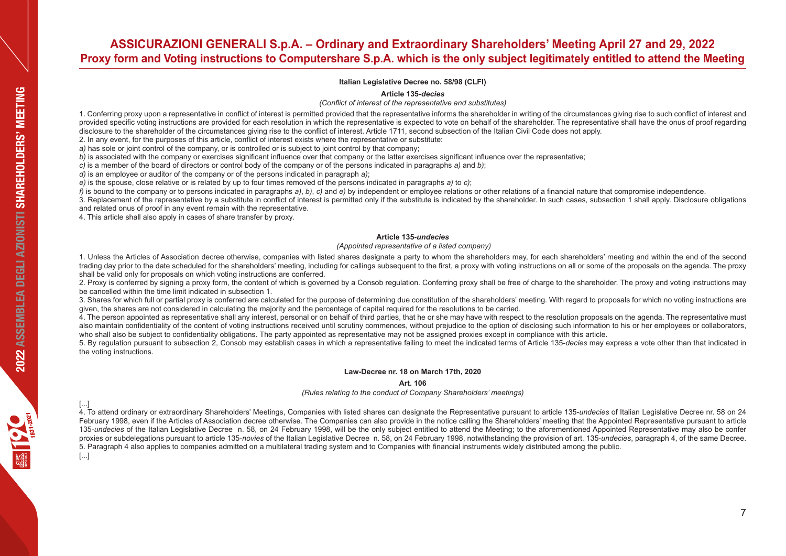**Italian Legislative Decree no. 58/98 (CLFI)**

**Article 135-***decies*

*(Conflict of interest of the representative and substitutes)* 

1. Conferring proxy upon a representative in conflict of interest is permitted provided that the representative informs the shareholder in writing of the circumstances giving rise to such conflict of interest and provided specific voting instructions are provided for each resolution in which the representative is expected to vote on behalf of the shareholder. The representative shall have the onus of proof regarding disclosure to the shareholder of the circumstances giving rise to the conflict of interest. Article 1711, second subsection of the Italian Civil Code does not apply.

2. In any event, for the purposes of this article, conflict of interest exists where the representative or substitute:

*a)* has sole or joint control of the company, or is controlled or is subject to joint control by that company;

*b*) is associated with the company or exercises significant influence over that company or the latter exercises significant influence over the representative:

*c)* is a member of the board of directors or control body of the company or of the persons indicated in paragraphs *a)* and *b)*;

*d)* is an employee or auditor of the company or of the persons indicated in paragraph *a)*;

*e)* is the spouse, close relative or is related by up to four times removed of the persons indicated in paragraphs *a)* to *c)*;

 $f$  is bound to the company or to persons indicated in paragraphs  $a$ ), b), c) and  $e$ ) by independent or employee relations or other relations of a financial nature that compromise independence.

3. Replacement of the representative by a substitute in conflict of interest is permitted only if the substitute is indicated by the shareholder. In such cases, subsection 1 shall apply. Disclosure obligations and related onus of proof in any event remain with the representative.

4. This article shall also apply in cases of share transfer by proxy.

### **Article 135***-undecies*

 *(Appointed representative of a listed company)* 

1. Unless the Articles of Association decree otherwise, companies with listed shares designate a party to whom the shareholders may, for each shareholders' meeting and within the end of the second trading day prior to the date scheduled for the shareholders' meeting, including for callings subsequent to the first, a proxy with voting instructions on all or some of the proposals on the agenda. The proxy shall be valid only for proposals on which voting instructions are conferred.

2. Proxy is conferred by signing a proxy form, the content of which is governed by a Consob regulation. Conferring proxy shall be free of charge to the shareholder. The proxy and voting instructions may be cancelled within the time limit indicated in subsection 1.

3. Shares for which full or partial proxy is conferred are calculated for the purpose of determining due constitution of the shareholders' meeting. With regard to proposals for which no voting instructions are given, the shares are not considered in calculating the majority and the percentage of capital required for the resolutions to be carried.

4. The person appointed as representative shall any interest, personal or on behalf of third parties, that he or she may have with respect to the resolution proposals on the agenda. The representative must also maintain confidentiality of the content of voting instructions received until scrutiny commences, without prejudice to the option of disclosing such information to his or her employees or collaborators, who shall also be subject to confidentiality obligations. The party appointed as representative may not be assigned proxies except in compliance with this article.

5. By regulation pursuant to subsection 2, Consob may establish cases in which a representative failing to meet the indicated terms of Article 135-*decies* may express a vote other than that indicated in the voting instructions.

### **Law-Decree nr. 18 on March 17th, 2020**

### **Art. 106**

*(Rules relating to the conduct of Company Shareholders' meetings)*

[...] 4. To attend ordinary or extraordinary Shareholders' Meetings, Companies with listed shares can designate the Representative pursuant to article 135-*undecies* of Italian Legislative Decree nr. 58 on 24 February 1998, even if the Articles of Association decree otherwise. The Companies can also provide in the notice calling the Shareholders' meeting that the Appointed Representative pursuant to article 135-*undecies* of the Italian Legislative Decree n. 58, on 24 February 1998, will be the only subject entitled to attend the Meeting; to the aforementioned Appointed Representative may also be confer proxies or subdelegations pursuant to article 135-*novies* of the Italian Legislative Decree n. 58, on 24 February 1998, notwithstanding the provision of art. 135-*undecies*, paragraph 4, of the same Decree. 5. Paragraph 4 also applies to companies admitted on a multilateral trading system and to Companies with financial instruments widely distributed among the public.

[...]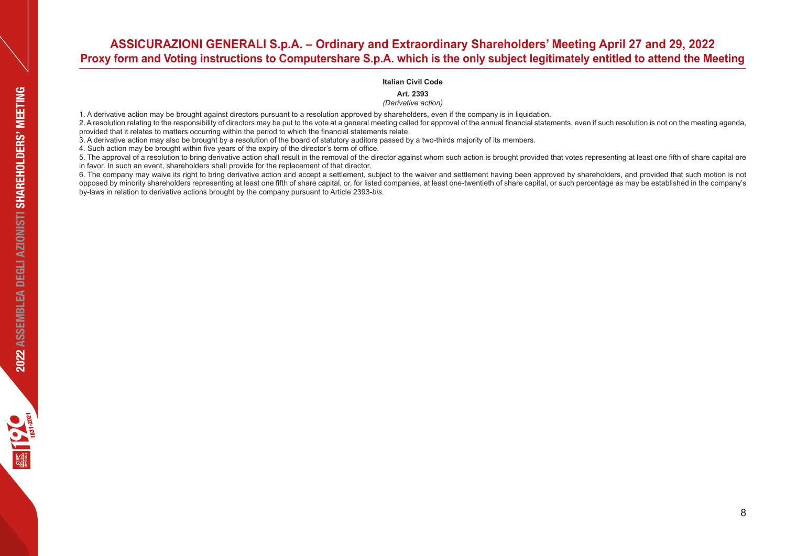### **Italian Civil Code**

**Art. 2393** 

*(Derivative action)*

1. A derivative action may be brought against directors pursuant to a resolution approved by shareholders, even if the company is in liquidation.

2. A resolution relating to the responsibility of directors may be put to the vote at a general meeting called for approval of the annual financial statements, even if such resolution is not on the meeting agenda. provided that it relates to matters occurring within the period to which the financial statements relate.

3. A derivative action may also be brought by a resolution of the board of statutory auditors passed by a two-thirds majority of its members.

4. Such action may be brought within five years of the expiry of the director's term of office.

5. The approval of a resolution to bring derivative action shall result in the removal of the director against whom such action is brought provided that votes representing at least one fifth of share capital are in favor. In such an event, shareholders shall provide for the replacement of that director.

6. The company may waive its right to bring derivative action and accept a settlement, subject to the waiver and settlement having been approved by shareholders, and provided that such motion is not opposed by minority shareholders representing at least one fifth of share capital, or, for listed companies, at least one-twentieth of share capital, or such percentage as may be established in the company's by-laws in relation to derivative actions brought by the company pursuant to Article 2393-*bis*.